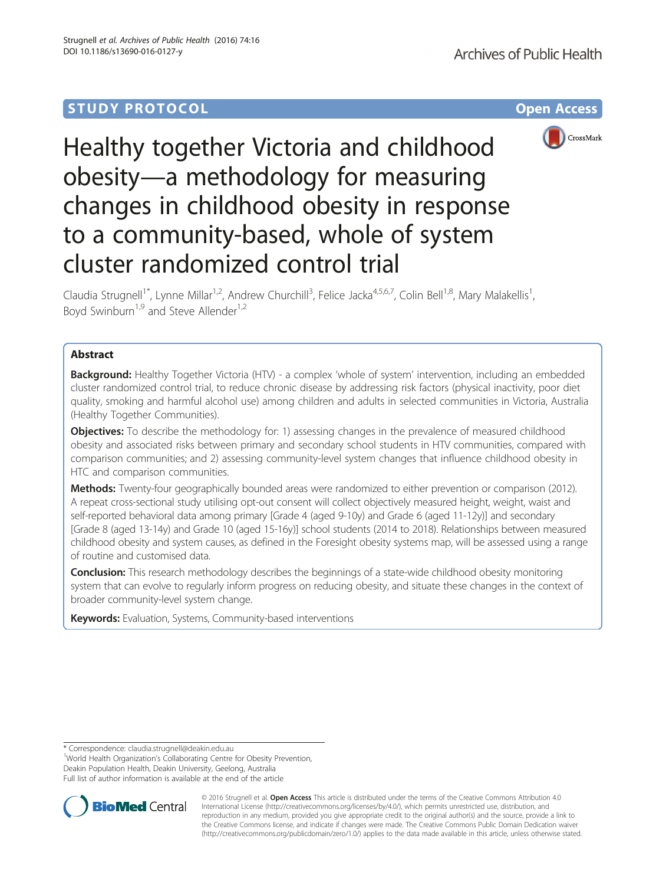# **STUDY PROTOCOL CONSUMING THE CONSUMING OPEN ACCESS**



Healthy together Victoria and childhood obesity—a methodology for measuring changes in childhood obesity in response to a community-based, whole of system cluster randomized control trial

Claudia Strugnell<sup>1\*</sup>, Lynne Millar<sup>1,2</sup>, Andrew Churchill<sup>3</sup>, Felice Jacka<sup>4,5,6,7</sup>, Colin Bell<sup>1,8</sup>, Mary Malakellis<sup>1</sup> , Boyd Swinburn<sup>1,9</sup> and Steve Allender<sup>1,2</sup>

# Abstract

**Background:** Healthy Together Victoria (HTV) - a complex 'whole of system' intervention, including an embedded cluster randomized control trial, to reduce chronic disease by addressing risk factors (physical inactivity, poor diet quality, smoking and harmful alcohol use) among children and adults in selected communities in Victoria, Australia (Healthy Together Communities).

**Objectives:** To describe the methodology for: 1) assessing changes in the prevalence of measured childhood obesity and associated risks between primary and secondary school students in HTV communities, compared with comparison communities; and 2) assessing community-level system changes that influence childhood obesity in HTC and comparison communities.

Methods: Twenty-four geographically bounded areas were randomized to either prevention or comparison (2012). A repeat cross-sectional study utilising opt-out consent will collect objectively measured height, weight, waist and self-reported behavioral data among primary [Grade 4 (aged 9-10y) and Grade 6 (aged 11-12y)] and secondary [Grade 8 (aged 13-14y) and Grade 10 (aged 15-16y)] school students (2014 to 2018). Relationships between measured childhood obesity and system causes, as defined in the Foresight obesity systems map, will be assessed using a range of routine and customised data.

Conclusion: This research methodology describes the beginnings of a state-wide childhood obesity monitoring system that can evolve to regularly inform progress on reducing obesity, and situate these changes in the context of broader community-level system change.

Keywords: Evaluation, Systems, Community-based interventions

<sup>1</sup>World Health Organization's Collaborating Centre for Obesity Prevention, Deakin Population Health, Deakin University, Geelong, Australia Full list of author information is available at the end of the article



© 2016 Strugnell et al. Open Access This article is distributed under the terms of the Creative Commons Attribution 4.0 International License [\(http://creativecommons.org/licenses/by/4.0/](http://creativecommons.org/licenses/by/4.0/)), which permits unrestricted use, distribution, and reproduction in any medium, provided you give appropriate credit to the original author(s) and the source, provide a link to the Creative Commons license, and indicate if changes were made. The Creative Commons Public Domain Dedication waiver [\(http://creativecommons.org/publicdomain/zero/1.0/](http://creativecommons.org/publicdomain/zero/1.0/)) applies to the data made available in this article, unless otherwise stated.

<sup>\*</sup> Correspondence: [claudia.strugnell@deakin.edu.au](mailto:claudia.strugnell@deakin.edu.au) <sup>1</sup>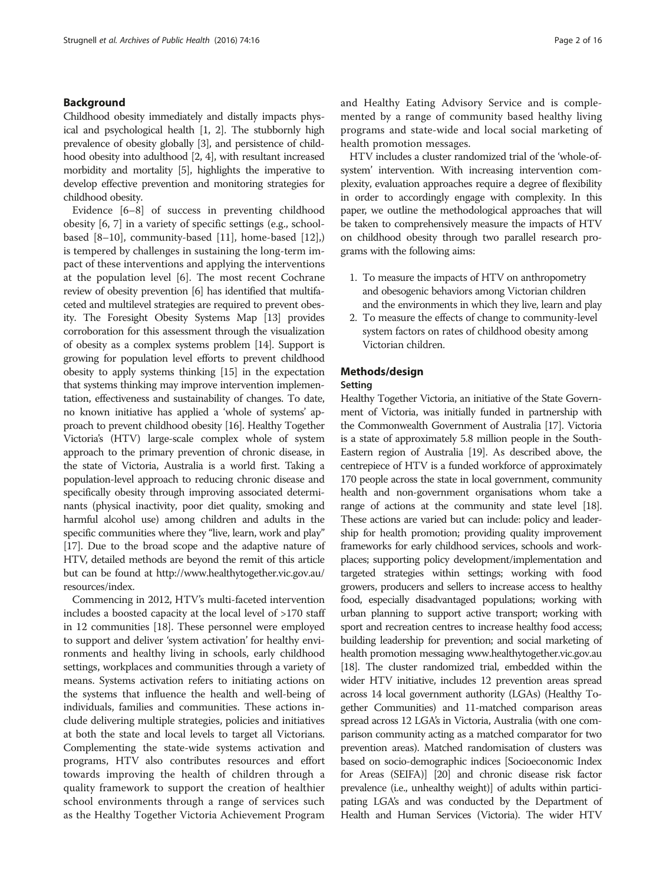## Background

Childhood obesity immediately and distally impacts physical and psychological health [\[1](#page-14-0), [2](#page-14-0)]. The stubbornly high prevalence of obesity globally [\[3](#page-14-0)], and persistence of childhood obesity into adulthood [\[2, 4](#page-14-0)], with resultant increased morbidity and mortality [\[5\]](#page-14-0), highlights the imperative to develop effective prevention and monitoring strategies for childhood obesity.

Evidence [\[6](#page-14-0)–[8\]](#page-14-0) of success in preventing childhood obesity [\[6](#page-14-0), [7](#page-14-0)] in a variety of specific settings (e.g., schoolbased [[8](#page-14-0)–[10](#page-14-0)], community-based [[11\]](#page-14-0), home-based [\[12](#page-14-0)],) is tempered by challenges in sustaining the long-term impact of these interventions and applying the interventions at the population level [[6\]](#page-14-0). The most recent Cochrane review of obesity prevention [\[6](#page-14-0)] has identified that multifaceted and multilevel strategies are required to prevent obesity. The Foresight Obesity Systems Map [\[13](#page-14-0)] provides corroboration for this assessment through the visualization of obesity as a complex systems problem [[14](#page-14-0)]. Support is growing for population level efforts to prevent childhood obesity to apply systems thinking [\[15](#page-14-0)] in the expectation that systems thinking may improve intervention implementation, effectiveness and sustainability of changes. To date, no known initiative has applied a 'whole of systems' approach to prevent childhood obesity [\[16\]](#page-14-0). Healthy Together Victoria's (HTV) large-scale complex whole of system approach to the primary prevention of chronic disease, in the state of Victoria, Australia is a world first. Taking a population-level approach to reducing chronic disease and specifically obesity through improving associated determinants (physical inactivity, poor diet quality, smoking and harmful alcohol use) among children and adults in the specific communities where they "live, learn, work and play" [[17](#page-14-0)]. Due to the broad scope and the adaptive nature of HTV, detailed methods are beyond the remit of this article but can be found at [http://www.healthytogether.vic.gov.au/](http://www.healthytogether.vic.gov.au/resources/index) [resources/index](http://www.healthytogether.vic.gov.au/resources/index).

Commencing in 2012, HTV's multi-faceted intervention includes a boosted capacity at the local level of >170 staff in 12 communities [\[18\]](#page-14-0). These personnel were employed to support and deliver 'system activation' for healthy environments and healthy living in schools, early childhood settings, workplaces and communities through a variety of means. Systems activation refers to initiating actions on the systems that influence the health and well-being of individuals, families and communities. These actions include delivering multiple strategies, policies and initiatives at both the state and local levels to target all Victorians. Complementing the state-wide systems activation and programs, HTV also contributes resources and effort towards improving the health of children through a quality framework to support the creation of healthier school environments through a range of services such as the Healthy Together Victoria Achievement Program and Healthy Eating Advisory Service and is complemented by a range of community based healthy living programs and state-wide and local social marketing of health promotion messages.

HTV includes a cluster randomized trial of the 'whole-ofsystem' intervention. With increasing intervention complexity, evaluation approaches require a degree of flexibility in order to accordingly engage with complexity. In this paper, we outline the methodological approaches that will be taken to comprehensively measure the impacts of HTV on childhood obesity through two parallel research programs with the following aims:

- 1. To measure the impacts of HTV on anthropometry and obesogenic behaviors among Victorian children and the environments in which they live, learn and play
- 2. To measure the effects of change to community-level system factors on rates of childhood obesity among Victorian children.

### Methods/design

### Setting

Healthy Together Victoria, an initiative of the State Government of Victoria, was initially funded in partnership with the Commonwealth Government of Australia [\[17\]](#page-14-0). Victoria is a state of approximately 5.8 million people in the South-Eastern region of Australia [\[19](#page-14-0)]. As described above, the centrepiece of HTV is a funded workforce of approximately 170 people across the state in local government, community health and non-government organisations whom take a range of actions at the community and state level [\[18](#page-14-0)]. These actions are varied but can include: policy and leadership for health promotion; providing quality improvement frameworks for early childhood services, schools and workplaces; supporting policy development/implementation and targeted strategies within settings; working with food growers, producers and sellers to increase access to healthy food, especially disadvantaged populations; working with urban planning to support active transport; working with sport and recreation centres to increase healthy food access; building leadership for prevention; and social marketing of health promotion messaging [www.healthytogether.vic.gov.au](http://www.healthytogether.vic.gov.au/) [[18\]](#page-14-0). The cluster randomized trial, embedded within the wider HTV initiative, includes 12 prevention areas spread across 14 local government authority (LGAs) (Healthy Together Communities) and 11-matched comparison areas spread across 12 LGA's in Victoria, Australia (with one comparison community acting as a matched comparator for two prevention areas). Matched randomisation of clusters was based on socio-demographic indices [Socioeconomic Index for Areas (SEIFA)] [\[20](#page-14-0)] and chronic disease risk factor prevalence (i.e., unhealthy weight)] of adults within participating LGA's and was conducted by the Department of Health and Human Services (Victoria). The wider HTV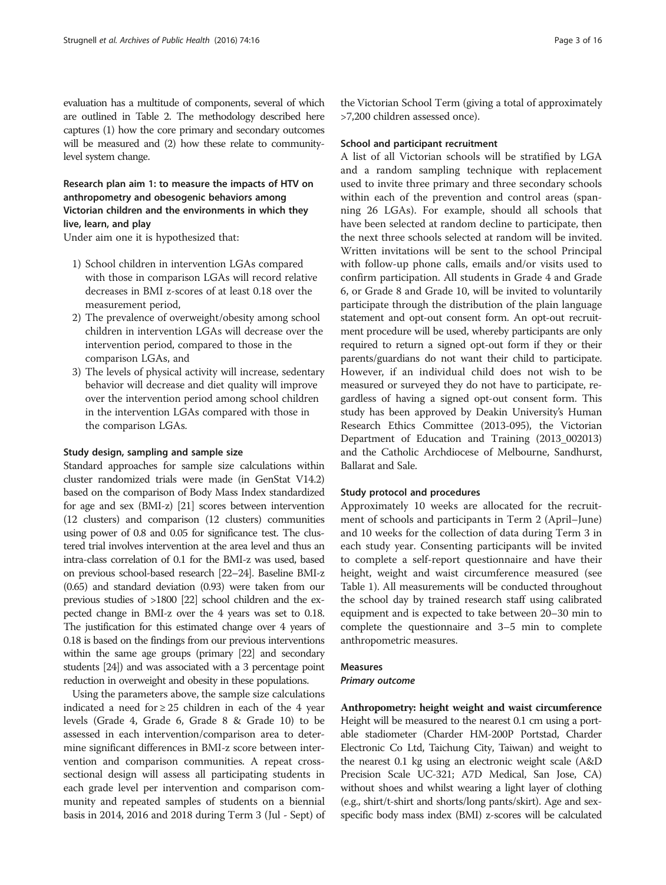evaluation has a multitude of components, several of which are outlined in Table [2](#page-6-0). The methodology described here captures (1) how the core primary and secondary outcomes will be measured and (2) how these relate to communitylevel system change.

# Research plan aim 1: to measure the impacts of HTV on anthropometry and obesogenic behaviors among Victorian children and the environments in which they live, learn, and play

Under aim one it is hypothesized that:

- 1) School children in intervention LGAs compared with those in comparison LGAs will record relative decreases in BMI z-scores of at least 0.18 over the measurement period,
- 2) The prevalence of overweight/obesity among school children in intervention LGAs will decrease over the intervention period, compared to those in the comparison LGAs, and
- 3) The levels of physical activity will increase, sedentary behavior will decrease and diet quality will improve over the intervention period among school children in the intervention LGAs compared with those in the comparison LGAs.

#### Study design, sampling and sample size

Standard approaches for sample size calculations within cluster randomized trials were made (in GenStat V14.2) based on the comparison of Body Mass Index standardized for age and sex (BMI-z) [[21](#page-14-0)] scores between intervention (12 clusters) and comparison (12 clusters) communities using power of 0.8 and 0.05 for significance test. The clustered trial involves intervention at the area level and thus an intra-class correlation of 0.1 for the BMI-z was used, based on previous school-based research [\[22](#page-14-0)–[24](#page-14-0)]. Baseline BMI-z (0.65) and standard deviation (0.93) were taken from our previous studies of >1800 [[22](#page-14-0)] school children and the expected change in BMI-z over the 4 years was set to 0.18. The justification for this estimated change over 4 years of 0.18 is based on the findings from our previous interventions within the same age groups (primary [\[22](#page-14-0)] and secondary students [\[24](#page-14-0)]) and was associated with a 3 percentage point reduction in overweight and obesity in these populations.

Using the parameters above, the sample size calculations indicated a need for  $\geq$  25 children in each of the 4 year levels (Grade 4, Grade 6, Grade 8 & Grade 10) to be assessed in each intervention/comparison area to determine significant differences in BMI-z score between intervention and comparison communities. A repeat crosssectional design will assess all participating students in each grade level per intervention and comparison community and repeated samples of students on a biennial basis in 2014, 2016 and 2018 during Term 3 (Jul - Sept) of

the Victorian School Term (giving a total of approximately >7,200 children assessed once).

### School and participant recruitment

A list of all Victorian schools will be stratified by LGA and a random sampling technique with replacement used to invite three primary and three secondary schools within each of the prevention and control areas (spanning 26 LGAs). For example, should all schools that have been selected at random decline to participate, then the next three schools selected at random will be invited. Written invitations will be sent to the school Principal with follow-up phone calls, emails and/or visits used to confirm participation. All students in Grade 4 and Grade 6, or Grade 8 and Grade 10, will be invited to voluntarily participate through the distribution of the plain language statement and opt-out consent form. An opt-out recruitment procedure will be used, whereby participants are only required to return a signed opt-out form if they or their parents/guardians do not want their child to participate. However, if an individual child does not wish to be measured or surveyed they do not have to participate, regardless of having a signed opt-out consent form. This study has been approved by Deakin University's Human Research Ethics Committee (2013-095), the Victorian Department of Education and Training (2013\_002013) and the Catholic Archdiocese of Melbourne, Sandhurst, Ballarat and Sale.

### Study protocol and procedures

Approximately 10 weeks are allocated for the recruitment of schools and participants in Term 2 (April–June) and 10 weeks for the collection of data during Term 3 in each study year. Consenting participants will be invited to complete a self-report questionnaire and have their height, weight and waist circumference measured (see Table [1](#page-3-0)). All measurements will be conducted throughout the school day by trained research staff using calibrated equipment and is expected to take between 20–30 min to complete the questionnaire and 3–5 min to complete anthropometric measures.

# Measures

### Primary outcome

Anthropometry: height weight and waist circumference Height will be measured to the nearest 0.1 cm using a portable stadiometer (Charder HM-200P Portstad, Charder Electronic Co Ltd, Taichung City, Taiwan) and weight to the nearest 0.1 kg using an electronic weight scale (A&D Precision Scale UC-321; A7D Medical, San Jose, CA) without shoes and whilst wearing a light layer of clothing (e.g., shirt/t-shirt and shorts/long pants/skirt). Age and sexspecific body mass index (BMI) z-scores will be calculated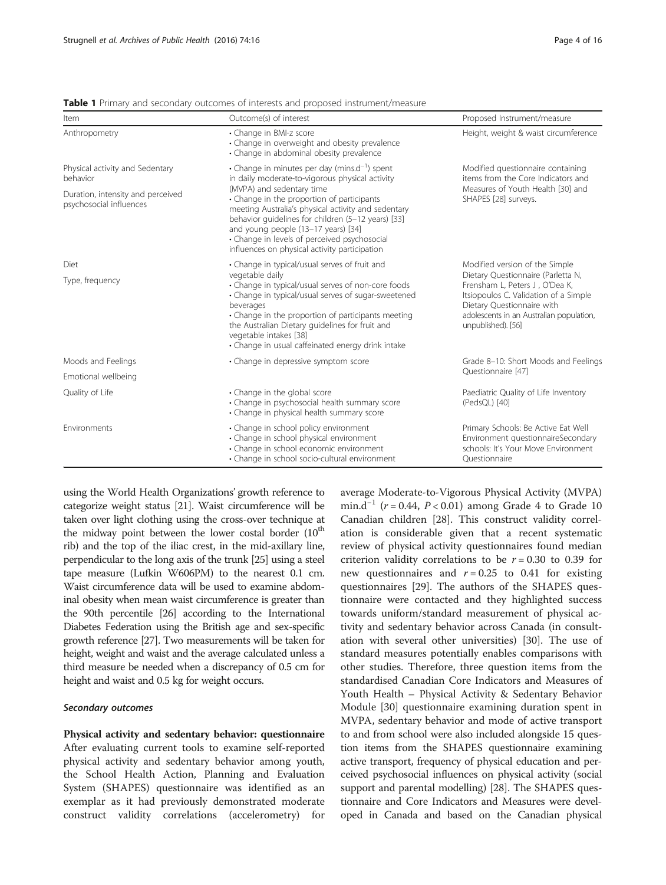| Item                                                         | Outcome(s) of interest                                                                                                                                                                                                                                                                                                            | Proposed Instrument/measure                                                                                                                                                                                   |  |  |
|--------------------------------------------------------------|-----------------------------------------------------------------------------------------------------------------------------------------------------------------------------------------------------------------------------------------------------------------------------------------------------------------------------------|---------------------------------------------------------------------------------------------------------------------------------------------------------------------------------------------------------------|--|--|
| Anthropometry                                                | • Change in BMI-z score<br>• Change in overweight and obesity prevalence<br>• Change in abdominal obesity prevalence                                                                                                                                                                                                              | Height, weight & waist circumference                                                                                                                                                                          |  |  |
| Physical activity and Sedentary<br>behavior                  | • Change in minutes per day (mins. $d^{-1}$ ) spent<br>in daily moderate-to-vigorous physical activity                                                                                                                                                                                                                            | Modified questionnaire containing<br>items from the Core Indicators and                                                                                                                                       |  |  |
| Duration, intensity and perceived<br>psychosocial influences | (MVPA) and sedentary time<br>• Change in the proportion of participants<br>meeting Australia's physical activity and sedentary<br>behavior guidelines for children (5-12 years) [33]<br>and young people (13-17 years) [34]<br>• Change in levels of perceived psychosocial<br>influences on physical activity participation      | Measures of Youth Health [30] and<br>SHAPES [28] surveys.                                                                                                                                                     |  |  |
| Diet                                                         | • Change in typical/usual serves of fruit and                                                                                                                                                                                                                                                                                     | Modified version of the Simple                                                                                                                                                                                |  |  |
| Type, frequency                                              | vegetable daily<br>• Change in typical/usual serves of non-core foods<br>• Change in typical/usual serves of sugar-sweetened<br>beverages<br>• Change in the proportion of participants meeting<br>the Australian Dietary guidelines for fruit and<br>vegetable intakes [38]<br>• Change in usual caffeinated energy drink intake | Dietary Questionnaire (Parletta N,<br>Frensham L, Peters J, O'Dea K,<br>Itsiopoulos C. Validation of a Simple<br>Dietary Questionnaire with<br>adolescents in an Australian population,<br>unpublished). [56] |  |  |
| Moods and Feelings                                           | • Change in depressive symptom score                                                                                                                                                                                                                                                                                              | Grade 8-10: Short Moods and Feelings                                                                                                                                                                          |  |  |
| Emotional wellbeing                                          |                                                                                                                                                                                                                                                                                                                                   | Questionnaire [47]                                                                                                                                                                                            |  |  |
| Quality of Life                                              | • Change in the global score<br>• Change in psychosocial health summary score<br>• Change in physical health summary score                                                                                                                                                                                                        | Paediatric Quality of Life Inventory<br>(PedsQL) [40]                                                                                                                                                         |  |  |
| <b>Environments</b>                                          | • Change in school policy environment<br>• Change in school physical environment<br>· Change in school economic environment<br>• Change in school socio-cultural environment                                                                                                                                                      | Primary Schools: Be Active Eat Well<br>Environment questionnaireSecondary<br>schools: It's Your Move Environment<br>Ouestionnaire                                                                             |  |  |

<span id="page-3-0"></span>Table 1 Primary and secondary outcomes of interests and proposed instrument/measure

using the World Health Organizations' growth reference to categorize weight status [\[21](#page-14-0)]. Waist circumference will be taken over light clothing using the cross-over technique at the midway point between the lower costal border  $(10<sup>th</sup>)$ rib) and the top of the iliac crest, in the mid-axillary line, perpendicular to the long axis of the trunk [[25](#page-14-0)] using a steel tape measure (Lufkin W606PM) to the nearest 0.1 cm. Waist circumference data will be used to examine abdominal obesity when mean waist circumference is greater than the 90th percentile [\[26\]](#page-14-0) according to the International Diabetes Federation using the British age and sex-specific growth reference [\[27](#page-14-0)]. Two measurements will be taken for height, weight and waist and the average calculated unless a third measure be needed when a discrepancy of 0.5 cm for height and waist and 0.5 kg for weight occurs.

### Secondary outcomes

Physical activity and sedentary behavior: questionnaire After evaluating current tools to examine self-reported physical activity and sedentary behavior among youth, the School Health Action, Planning and Evaluation System (SHAPES) questionnaire was identified as an exemplar as it had previously demonstrated moderate construct validity correlations (accelerometry) for

average Moderate-to-Vigorous Physical Activity (MVPA) min.d<sup>-1</sup> ( $r = 0.44$ ,  $P < 0.01$ ) among Grade 4 to Grade 10 Canadian children [[28\]](#page-14-0). This construct validity correlation is considerable given that a recent systematic review of physical activity questionnaires found median criterion validity correlations to be  $r = 0.30$  to 0.39 for new questionnaires and  $r = 0.25$  to 0.41 for existing questionnaires [\[29](#page-14-0)]. The authors of the SHAPES questionnaire were contacted and they highlighted success towards uniform/standard measurement of physical activity and sedentary behavior across Canada (in consultation with several other universities) [[30](#page-14-0)]. The use of standard measures potentially enables comparisons with other studies. Therefore, three question items from the standardised Canadian Core Indicators and Measures of Youth Health – Physical Activity & Sedentary Behavior Module [[30](#page-14-0)] questionnaire examining duration spent in MVPA, sedentary behavior and mode of active transport to and from school were also included alongside 15 question items from the SHAPES questionnaire examining active transport, frequency of physical education and perceived psychosocial influences on physical activity (social support and parental modelling) [\[28\]](#page-14-0). The SHAPES questionnaire and Core Indicators and Measures were developed in Canada and based on the Canadian physical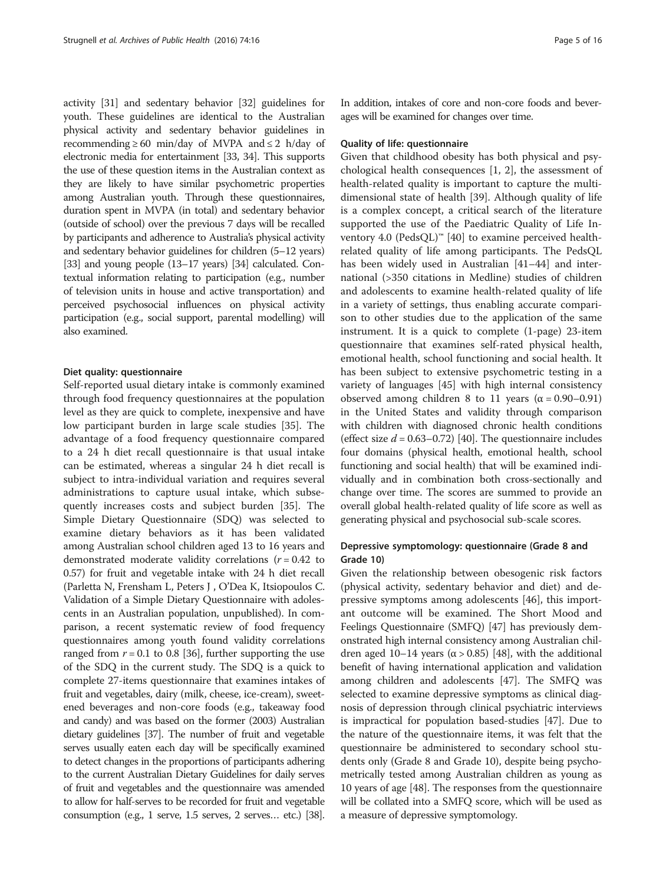activity [\[31\]](#page-14-0) and sedentary behavior [\[32\]](#page-14-0) guidelines for youth. These guidelines are identical to the Australian physical activity and sedentary behavior guidelines in recommending  $\geq 60$  min/day of MVPA and  $\leq 2$  h/day of electronic media for entertainment [[33](#page-14-0), [34](#page-14-0)]. This supports the use of these question items in the Australian context as they are likely to have similar psychometric properties among Australian youth. Through these questionnaires, duration spent in MVPA (in total) and sedentary behavior (outside of school) over the previous 7 days will be recalled by participants and adherence to Australia's physical activity and sedentary behavior guidelines for children (5–12 years) [[33](#page-14-0)] and young people (13–17 years) [\[34\]](#page-14-0) calculated. Contextual information relating to participation (e.g., number of television units in house and active transportation) and perceived psychosocial influences on physical activity participation (e.g., social support, parental modelling) will also examined.

### Diet quality: questionnaire

Self-reported usual dietary intake is commonly examined through food frequency questionnaires at the population level as they are quick to complete, inexpensive and have low participant burden in large scale studies [[35\]](#page-14-0). The advantage of a food frequency questionnaire compared to a 24 h diet recall questionnaire is that usual intake can be estimated, whereas a singular 24 h diet recall is subject to intra-individual variation and requires several administrations to capture usual intake, which subsequently increases costs and subject burden [[35\]](#page-14-0). The Simple Dietary Questionnaire (SDQ) was selected to examine dietary behaviors as it has been validated among Australian school children aged 13 to 16 years and demonstrated moderate validity correlations  $(r = 0.42$  to 0.57) for fruit and vegetable intake with 24 h diet recall (Parletta N, Frensham L, Peters J , O'Dea K, Itsiopoulos C. Validation of a Simple Dietary Questionnaire with adolescents in an Australian population, unpublished). In comparison, a recent systematic review of food frequency questionnaires among youth found validity correlations ranged from  $r = 0.1$  to 0.8 [[36](#page-14-0)], further supporting the use of the SDQ in the current study. The SDQ is a quick to complete 27-items questionnaire that examines intakes of fruit and vegetables, dairy (milk, cheese, ice-cream), sweetened beverages and non-core foods (e.g., takeaway food and candy) and was based on the former (2003) Australian dietary guidelines [\[37\]](#page-14-0). The number of fruit and vegetable serves usually eaten each day will be specifically examined to detect changes in the proportions of participants adhering to the current Australian Dietary Guidelines for daily serves of fruit and vegetables and the questionnaire was amended to allow for half-serves to be recorded for fruit and vegetable consumption (e.g., 1 serve, 1.5 serves, 2 serves… etc.) [\[38](#page-14-0)].

In addition, intakes of core and non-core foods and beverages will be examined for changes over time.

#### Quality of life: questionnaire

Given that childhood obesity has both physical and psychological health consequences [[1, 2](#page-14-0)], the assessment of health-related quality is important to capture the multidimensional state of health [\[39](#page-14-0)]. Although quality of life is a complex concept, a critical search of the literature supported the use of the Paediatric Quality of Life Inventory 4.0 (PedsQL)™ [\[40\]](#page-14-0) to examine perceived healthrelated quality of life among participants. The PedsQL has been widely used in Australian [\[41](#page-14-0)–[44\]](#page-14-0) and international (>350 citations in Medline) studies of children and adolescents to examine health-related quality of life in a variety of settings, thus enabling accurate comparison to other studies due to the application of the same instrument. It is a quick to complete (1-page) 23-item questionnaire that examines self-rated physical health, emotional health, school functioning and social health. It has been subject to extensive psychometric testing in a variety of languages [[45\]](#page-14-0) with high internal consistency observed among children 8 to 11 years ( $\alpha$  = 0.90–0.91) in the United States and validity through comparison with children with diagnosed chronic health conditions (effect size  $d = 0.63 - 0.72$ ) [\[40\]](#page-14-0). The questionnaire includes four domains (physical health, emotional health, school functioning and social health) that will be examined individually and in combination both cross-sectionally and change over time. The scores are summed to provide an overall global health-related quality of life score as well as generating physical and psychosocial sub-scale scores.

### Depressive symptomology: questionnaire (Grade 8 and Grade 10)

Given the relationship between obesogenic risk factors (physical activity, sedentary behavior and diet) and depressive symptoms among adolescents [\[46](#page-14-0)], this important outcome will be examined. The Short Mood and Feelings Questionnaire (SMFQ) [\[47\]](#page-15-0) has previously demonstrated high internal consistency among Australian children aged 10–14 years ( $\alpha$  > 0.85) [[48](#page-15-0)], with the additional benefit of having international application and validation among children and adolescents [\[47\]](#page-15-0). The SMFQ was selected to examine depressive symptoms as clinical diagnosis of depression through clinical psychiatric interviews is impractical for population based-studies [[47](#page-15-0)]. Due to the nature of the questionnaire items, it was felt that the questionnaire be administered to secondary school students only (Grade 8 and Grade 10), despite being psychometrically tested among Australian children as young as 10 years of age [\[48\]](#page-15-0). The responses from the questionnaire will be collated into a SMFQ score, which will be used as a measure of depressive symptomology.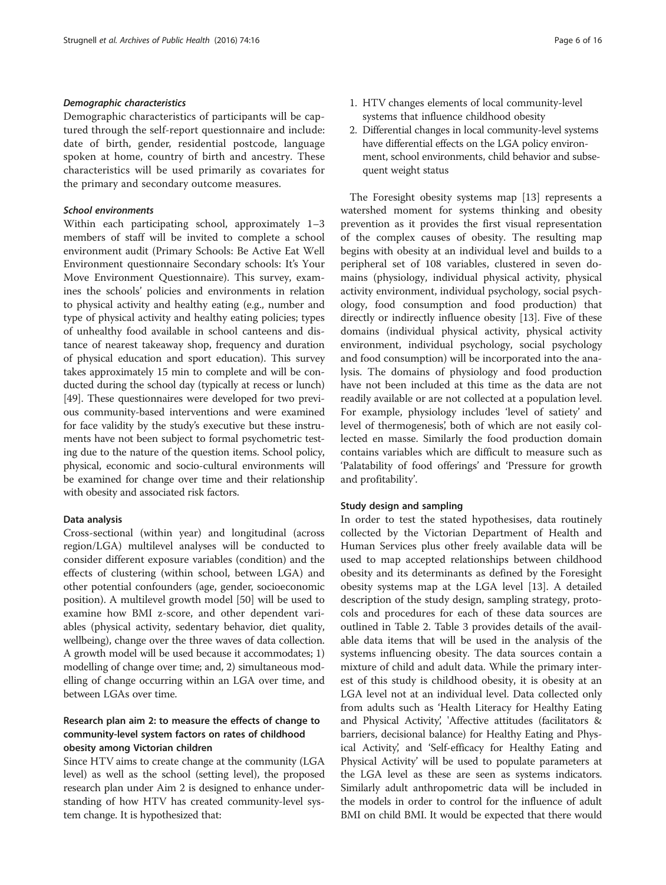### Demographic characteristics

Demographic characteristics of participants will be captured through the self-report questionnaire and include: date of birth, gender, residential postcode, language spoken at home, country of birth and ancestry. These characteristics will be used primarily as covariates for the primary and secondary outcome measures.

### School environments

Within each participating school, approximately 1–3 members of staff will be invited to complete a school environment audit (Primary Schools: Be Active Eat Well Environment questionnaire Secondary schools: It's Your Move Environment Questionnaire). This survey, examines the schools' policies and environments in relation to physical activity and healthy eating (e.g., number and type of physical activity and healthy eating policies; types of unhealthy food available in school canteens and distance of nearest takeaway shop, frequency and duration of physical education and sport education). This survey takes approximately 15 min to complete and will be conducted during the school day (typically at recess or lunch) [[49](#page-15-0)]. These questionnaires were developed for two previous community-based interventions and were examined for face validity by the study's executive but these instruments have not been subject to formal psychometric testing due to the nature of the question items. School policy, physical, economic and socio-cultural environments will be examined for change over time and their relationship with obesity and associated risk factors.

### Data analysis

Cross-sectional (within year) and longitudinal (across region/LGA) multilevel analyses will be conducted to consider different exposure variables (condition) and the effects of clustering (within school, between LGA) and other potential confounders (age, gender, socioeconomic position). A multilevel growth model [[50](#page-15-0)] will be used to examine how BMI z-score, and other dependent variables (physical activity, sedentary behavior, diet quality, wellbeing), change over the three waves of data collection. A growth model will be used because it accommodates; 1) modelling of change over time; and, 2) simultaneous modelling of change occurring within an LGA over time, and between LGAs over time.

# Research plan aim 2: to measure the effects of change to community-level system factors on rates of childhood obesity among Victorian children

Since HTV aims to create change at the community (LGA level) as well as the school (setting level), the proposed research plan under Aim 2 is designed to enhance understanding of how HTV has created community-level system change. It is hypothesized that:

- 1. HTV changes elements of local community-level systems that influence childhood obesity
- 2. Differential changes in local community-level systems have differential effects on the LGA policy environment, school environments, child behavior and subsequent weight status

The Foresight obesity systems map [\[13\]](#page-14-0) represents a watershed moment for systems thinking and obesity prevention as it provides the first visual representation of the complex causes of obesity. The resulting map begins with obesity at an individual level and builds to a peripheral set of 108 variables, clustered in seven domains (physiology, individual physical activity, physical activity environment, individual psychology, social psychology, food consumption and food production) that directly or indirectly influence obesity [[13\]](#page-14-0). Five of these domains (individual physical activity, physical activity environment, individual psychology, social psychology and food consumption) will be incorporated into the analysis. The domains of physiology and food production have not been included at this time as the data are not readily available or are not collected at a population level. For example, physiology includes 'level of satiety' and level of thermogenesis', both of which are not easily collected en masse. Similarly the food production domain contains variables which are difficult to measure such as 'Palatability of food offerings' and 'Pressure for growth and profitability'.

### Study design and sampling

In order to test the stated hypothesises, data routinely collected by the Victorian Department of Health and Human Services plus other freely available data will be used to map accepted relationships between childhood obesity and its determinants as defined by the Foresight obesity systems map at the LGA level [[13](#page-14-0)]. A detailed description of the study design, sampling strategy, protocols and procedures for each of these data sources are outlined in Table [2](#page-6-0). Table [3](#page-8-0) provides details of the available data items that will be used in the analysis of the systems influencing obesity. The data sources contain a mixture of child and adult data. While the primary interest of this study is childhood obesity, it is obesity at an LGA level not at an individual level. Data collected only from adults such as 'Health Literacy for Healthy Eating and Physical Activity', 'Affective attitudes (facilitators & barriers, decisional balance) for Healthy Eating and Physical Activity', and 'Self-efficacy for Healthy Eating and Physical Activity' will be used to populate parameters at the LGA level as these are seen as systems indicators. Similarly adult anthropometric data will be included in the models in order to control for the influence of adult BMI on child BMI. It would be expected that there would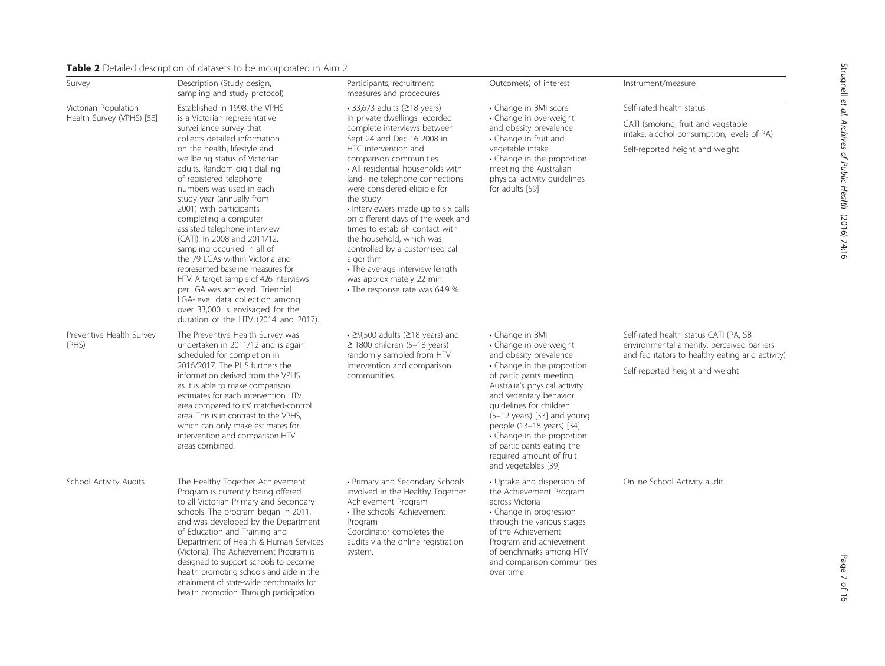# <span id="page-6-0"></span>Table 2 Detailed description of datasets to be incorporated in Aim 2

| Survey                                            | Description (Study design,<br>sampling and study protocol)                                                                                                                                                                                                                                                                                                                                                                                                                                                                                                                                                                                                                                                                               | Participants, recruitment<br>measures and procedures                                                                                                                                                                                                                                                                                                                                                                                                                                                                                                                                                      | Outcome(s) of interest                                                                                                                                                                                                                                                                                                                                                                        | Instrument/measure                                                                                                                                                        |
|---------------------------------------------------|------------------------------------------------------------------------------------------------------------------------------------------------------------------------------------------------------------------------------------------------------------------------------------------------------------------------------------------------------------------------------------------------------------------------------------------------------------------------------------------------------------------------------------------------------------------------------------------------------------------------------------------------------------------------------------------------------------------------------------------|-----------------------------------------------------------------------------------------------------------------------------------------------------------------------------------------------------------------------------------------------------------------------------------------------------------------------------------------------------------------------------------------------------------------------------------------------------------------------------------------------------------------------------------------------------------------------------------------------------------|-----------------------------------------------------------------------------------------------------------------------------------------------------------------------------------------------------------------------------------------------------------------------------------------------------------------------------------------------------------------------------------------------|---------------------------------------------------------------------------------------------------------------------------------------------------------------------------|
| Victorian Population<br>Health Survey (VPHS) [58] | Established in 1998, the VPHS<br>is a Victorian representative<br>surveillance survey that<br>collects detailed information<br>on the health, lifestyle and<br>wellbeing status of Victorian<br>adults. Random digit dialling<br>of registered telephone<br>numbers was used in each<br>study year (annually from<br>2001) with participants<br>completing a computer<br>assisted telephone interview<br>(CATI). In 2008 and 2011/12,<br>sampling occurred in all of<br>the 79 LGAs within Victoria and<br>represented baseline measures for<br>HTV. A target sample of 426 interviews<br>per LGA was achieved. Triennial<br>LGA-level data collection among<br>over 33,000 is envisaged for the<br>duration of the HTV (2014 and 2017). | $\cdot$ 33,673 adults ( $\ge$ 18 years)<br>in private dwellings recorded<br>complete interviews between<br>Sept 24 and Dec 16 2008 in<br>HTC intervention and<br>comparison communities<br>• All residential households with<br>land-line telephone connections<br>were considered eligible for<br>the study<br>· Interviewers made up to six calls<br>on different days of the week and<br>times to establish contact with<br>the household, which was<br>controlled by a customised call<br>algorithm<br>• The average interview length<br>was approximately 22 min.<br>• The response rate was 64.9 %. | • Change in BMI score<br>• Change in overweight<br>and obesity prevalence<br>• Change in fruit and<br>vegetable intake<br>• Change in the proportion<br>meeting the Australian<br>physical activity guidelines<br>for adults [59]                                                                                                                                                             | Self-rated health status<br>CATI (smoking, fruit and vegetable<br>intake, alcohol consumption, levels of PA)<br>Self-reported height and weight                           |
| Preventive Health Survey<br>(PHS)                 | The Preventive Health Survey was<br>undertaken in 2011/12 and is again<br>scheduled for completion in<br>2016/2017. The PHS furthers the<br>information derived from the VPHS<br>as it is able to make comparison<br>estimates for each intervention HTV<br>area compared to its' matched-control<br>area. This is in contrast to the VPHS,<br>which can only make estimates for<br>intervention and comparison HTV<br>areas combined.                                                                                                                                                                                                                                                                                                   | $\cdot$ 29,500 adults (218 years) and<br>$\geq$ 1800 children (5-18 years)<br>randomly sampled from HTV<br>intervention and comparison<br>communities                                                                                                                                                                                                                                                                                                                                                                                                                                                     | • Change in BMI<br>· Change in overweight<br>and obesity prevalence<br>• Change in the proportion<br>of participants meeting<br>Australia's physical activity<br>and sedentary behavior<br>quidelines for children<br>(5-12 years) [33] and young<br>people (13-18 years) [34]<br>• Change in the proportion<br>of participants eating the<br>required amount of fruit<br>and vegetables [39] | Self-rated health status CATI (PA, SB<br>environmental amenity, perceived barriers<br>and facilitators to healthy eating and activity)<br>Self-reported height and weight |
| School Activity Audits                            | The Healthy Together Achievement<br>Program is currently being offered<br>to all Victorian Primary and Secondary<br>schools. The program began in 2011,<br>and was developed by the Department<br>of Education and Training and<br>Department of Health & Human Services<br>(Victoria). The Achievement Program is<br>designed to support schools to become<br>health promoting schools and aide in the<br>attainment of state-wide benchmarks for<br>health promotion. Through participation                                                                                                                                                                                                                                            | • Primary and Secondary Schools<br>involved in the Healthy Together<br>Achievement Program<br>• The schools' Achievement<br>Program<br>Coordinator completes the<br>audits via the online registration<br>system.                                                                                                                                                                                                                                                                                                                                                                                         | • Uptake and dispersion of<br>the Achievement Program<br>across Victoria<br>• Change in progression<br>through the various stages<br>of the Achievement<br>Program and achievement<br>of benchmarks among HTV<br>and comparison communities<br>over time.                                                                                                                                     | Online School Activity audit                                                                                                                                              |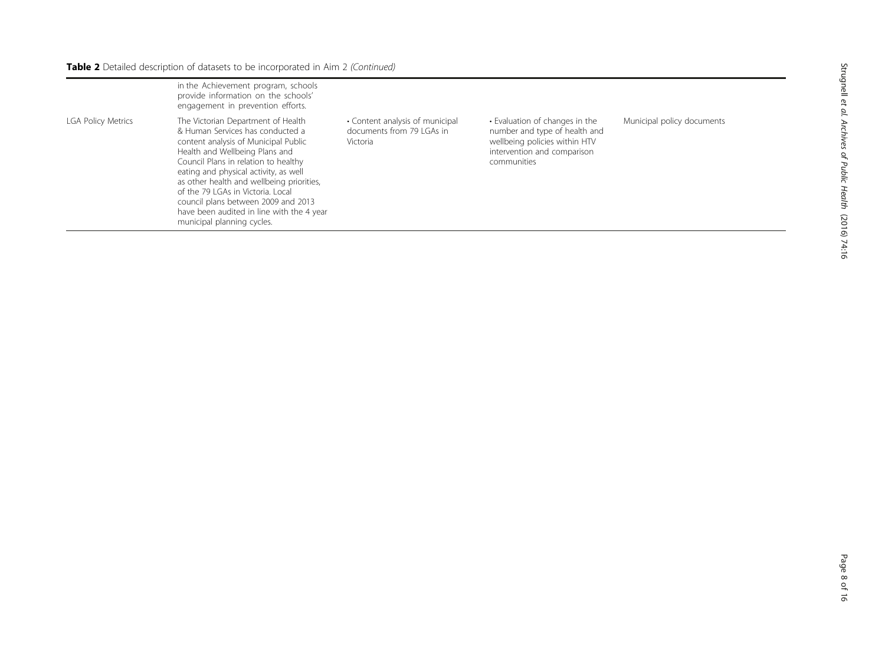Table 2 Detailed description of datasets to be incorporated in Aim 2 (Continued)

|                           | in the Achievement program, schools<br>provide information on the schools'<br>engagement in prevention efforts.                                                                                                                                                                                                                                                                                                                       |                                                                          |                                                                                                                                                |                            |
|---------------------------|---------------------------------------------------------------------------------------------------------------------------------------------------------------------------------------------------------------------------------------------------------------------------------------------------------------------------------------------------------------------------------------------------------------------------------------|--------------------------------------------------------------------------|------------------------------------------------------------------------------------------------------------------------------------------------|----------------------------|
| <b>LGA Policy Metrics</b> | The Victorian Department of Health<br>& Human Services has conducted a<br>content analysis of Municipal Public<br>Health and Wellbeing Plans and<br>Council Plans in relation to healthy<br>eating and physical activity, as well<br>as other health and wellbeing priorities,<br>of the 79 LGAs in Victoria. Local<br>council plans between 2009 and 2013<br>have been audited in line with the 4 year<br>municipal planning cycles. | • Content analysis of municipal<br>documents from 79 LGAs in<br>Victoria | • Evaluation of changes in the<br>number and type of health and<br>wellbeing policies within HTV<br>intervention and comparison<br>communities | Municipal policy documents |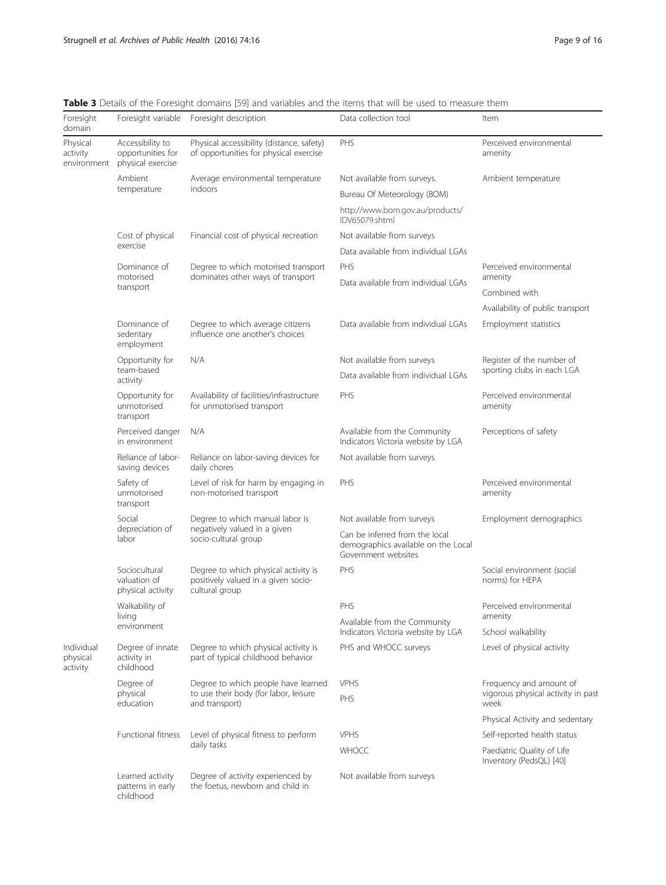| Foresight                           | Foresight variable                                         | Foresight description                                                                         | Data collection tool                                                                         | Item                                                    |  |
|-------------------------------------|------------------------------------------------------------|-----------------------------------------------------------------------------------------------|----------------------------------------------------------------------------------------------|---------------------------------------------------------|--|
| domain                              |                                                            |                                                                                               |                                                                                              |                                                         |  |
| Physical<br>activity<br>environment | Accessibility to<br>opportunities for<br>physical exercise | Physical accessibility (distance, safety)<br>of opportunities for physical exercise           | PHS                                                                                          | Perceived environmental<br>amenity                      |  |
|                                     | Ambient                                                    | Average environmental temperature                                                             | Not available from surveys.                                                                  | Ambient temperature                                     |  |
|                                     | temperature                                                | indoors                                                                                       | Bureau Of Meteorology (BOM)                                                                  |                                                         |  |
|                                     |                                                            |                                                                                               | http://www.bom.gov.au/products/<br>IDV65079.shtml                                            |                                                         |  |
|                                     | Cost of physical                                           | Financial cost of physical recreation                                                         | Not available from surveys                                                                   |                                                         |  |
|                                     | exercise                                                   |                                                                                               | Data available from individual LGAs                                                          |                                                         |  |
|                                     | Dominance of<br>motorised                                  | Degree to which motorised transport<br>dominates other ways of transport                      | PHS<br>Data available from individual LGAs                                                   | Perceived environmental<br>amenity                      |  |
|                                     | transport                                                  |                                                                                               |                                                                                              | Combined with                                           |  |
|                                     |                                                            |                                                                                               |                                                                                              | Availability of public transport                        |  |
|                                     | Dominance of<br>sedentary<br>employment                    | Degree to which average citizens<br>influence one another's choices                           | Data available from individual LGAs                                                          | Employment statistics                                   |  |
|                                     | Opportunity for                                            | N/A                                                                                           | Not available from surveys                                                                   | Register of the number of<br>sporting clubs in each LGA |  |
|                                     | team-based<br>activity                                     |                                                                                               | Data available from individual LGAs                                                          |                                                         |  |
|                                     | Opportunity for<br>unmotorised<br>transport                | Availability of facilities/infrastructure<br>for unmotorised transport                        | PHS                                                                                          | Perceived environmental<br>amenity                      |  |
|                                     | Perceived danger<br>in environment                         | N/A                                                                                           | Available from the Community<br>Indicators Victoria website by LGA                           | Perceptions of safety                                   |  |
|                                     | Reliance of labor-<br>saving devices                       | Reliance on labor-saving devices for<br>daily chores                                          | Not available from surveys                                                                   |                                                         |  |
|                                     | Safety of<br>unmotorised<br>transport                      | Level of risk for harm by engaging in<br>non-motorised transport                              | PHS                                                                                          | Perceived environmental<br>amenity                      |  |
|                                     | Social                                                     | Degree to which manual labor is                                                               | Not available from surveys                                                                   | Employment demographics                                 |  |
|                                     | depreciation of<br>labor                                   | negatively valued in a given<br>socio-cultural group                                          | Can be inferred from the local<br>demographics available on the Local<br>Government websites |                                                         |  |
|                                     | Sociocultural<br>valuation of<br>physical activity         | Degree to which physical activity is<br>positively valued in a given socio-<br>cultural group | PHS                                                                                          | Social environment (social<br>norms) for HEPA           |  |
|                                     | Walkability of                                             |                                                                                               | PHS                                                                                          | Perceived environmental                                 |  |
|                                     | living<br>environment                                      |                                                                                               | Available from the Community<br>Indicators Victoria website by LGA                           | amenity<br>School walkability                           |  |
| Individual<br>physical<br>activity  | Degree of innate<br>activity in<br>childhood               | Degree to which physical activity is<br>part of typical childhood behavior                    | PHS and WHOCC surveys                                                                        | Level of physical activity                              |  |
|                                     | Degree of                                                  | Degree to which people have learned                                                           | <b>VPHS</b>                                                                                  | Frequency and amount of                                 |  |
|                                     | physical<br>education                                      | to use their body (for labor, leisure<br>and transport)                                       | PHS                                                                                          | vigorous physical activity in past<br>week              |  |
|                                     |                                                            |                                                                                               |                                                                                              | Physical Activity and sedentary                         |  |
|                                     | Functional fitness                                         | Level of physical fitness to perform                                                          | <b>VPHS</b>                                                                                  | Self-reported health status                             |  |
|                                     |                                                            | daily tasks                                                                                   | <b>WHOCC</b>                                                                                 | Paediatric Quality of Life<br>Inventory (PedsQL) [40]   |  |
|                                     | Learned activity<br>patterns in early<br>childhood         | Degree of activity experienced by<br>the foetus, newborn and child in                         | Not available from surveys                                                                   |                                                         |  |

<span id="page-8-0"></span>Table 3 Details of the Foresight domains [[59\]](#page-15-0) and variables and the items that will be used to measure them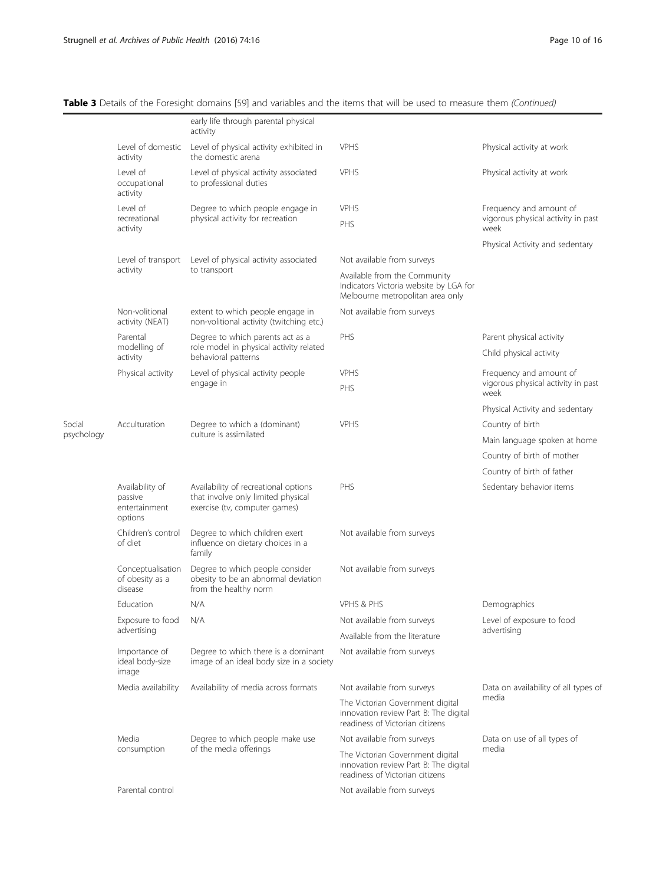# Table 3 Details of the Foresight domains [[59\]](#page-13-0) and variables and the items that will be used to measure them (Continued)

|            |                                                        | early life through parental physical<br>activity                                                            |                                                                                                              |                                            |
|------------|--------------------------------------------------------|-------------------------------------------------------------------------------------------------------------|--------------------------------------------------------------------------------------------------------------|--------------------------------------------|
|            | Level of domestic<br>activity                          | Level of physical activity exhibited in<br>the domestic arena                                               | <b>VPHS</b>                                                                                                  | Physical activity at work                  |
|            | Level of<br>occupational<br>activity                   | Level of physical activity associated<br>to professional duties                                             | <b>VPHS</b>                                                                                                  | Physical activity at work                  |
|            | Level of                                               | Degree to which people engage in                                                                            | <b>VPHS</b>                                                                                                  | Frequency and amount of                    |
|            | recreational<br>activity                               | physical activity for recreation                                                                            | PHS                                                                                                          | vigorous physical activity in past<br>week |
|            |                                                        |                                                                                                             |                                                                                                              | Physical Activity and sedentary            |
|            |                                                        | Level of transport Level of physical activity associated                                                    | Not available from surveys                                                                                   |                                            |
|            | activity                                               | to transport                                                                                                | Available from the Community<br>Indicators Victoria website by LGA for<br>Melbourne metropolitan area only   |                                            |
|            | Non-volitional<br>activity (NEAT)                      | extent to which people engage in<br>non-volitional activity (twitching etc.)                                | Not available from surveys                                                                                   |                                            |
|            | Parental                                               | Degree to which parents act as a                                                                            | PHS                                                                                                          | Parent physical activity                   |
|            | modelling of<br>activity                               | role model in physical activity related<br>behavioral patterns                                              |                                                                                                              | Child physical activity                    |
|            | Physical activity                                      | Level of physical activity people                                                                           | <b>VPHS</b>                                                                                                  | Frequency and amount of                    |
|            |                                                        | engage in                                                                                                   | PHS                                                                                                          | vigorous physical activity in past<br>week |
|            |                                                        |                                                                                                             |                                                                                                              | Physical Activity and sedentary            |
| Social     | Acculturation                                          | Degree to which a (dominant)                                                                                | <b>VPHS</b>                                                                                                  | Country of birth                           |
| psychology |                                                        | culture is assimilated                                                                                      |                                                                                                              | Main language spoken at home               |
|            |                                                        |                                                                                                             |                                                                                                              | Country of birth of mother                 |
|            |                                                        |                                                                                                             |                                                                                                              | Country of birth of father                 |
|            | Availability of<br>passive<br>entertainment<br>options | Availability of recreational options<br>that involve only limited physical<br>exercise (tv, computer games) | PHS                                                                                                          | Sedentary behavior items                   |
|            | Children's control<br>of diet                          | Degree to which children exert<br>influence on dietary choices in a<br>family                               | Not available from surveys                                                                                   |                                            |
|            | Conceptualisation<br>of obesity as a<br>disease        | Degree to which people consider<br>obesity to be an abnormal deviation<br>from the healthy norm             | Not available from surveys                                                                                   |                                            |
|            | Education                                              | N/A                                                                                                         | <b>VPHS &amp; PHS</b>                                                                                        | Demographics                               |
|            | Exposure to food                                       | N/A                                                                                                         | Not available from surveys                                                                                   | Level of exposure to food                  |
|            | advertising                                            |                                                                                                             | Available from the literature                                                                                | advertising                                |
|            | Importance of<br>ideal body-size<br>image              | Degree to which there is a dominant<br>image of an ideal body size in a society                             | Not available from surveys                                                                                   |                                            |
|            | Media availability                                     | Availability of media across formats                                                                        | Not available from surveys                                                                                   | Data on availability of all types of       |
|            |                                                        |                                                                                                             | The Victorian Government digital<br>innovation review Part B: The digital<br>readiness of Victorian citizens | media                                      |
|            | Media                                                  | Degree to which people make use                                                                             | Not available from surveys<br>Data on use of all types of                                                    |                                            |
|            | consumption                                            | of the media offerings                                                                                      | The Victorian Government digital<br>innovation review Part B: The digital<br>readiness of Victorian citizens | media                                      |
|            | Parental control                                       |                                                                                                             | Not available from surveys                                                                                   |                                            |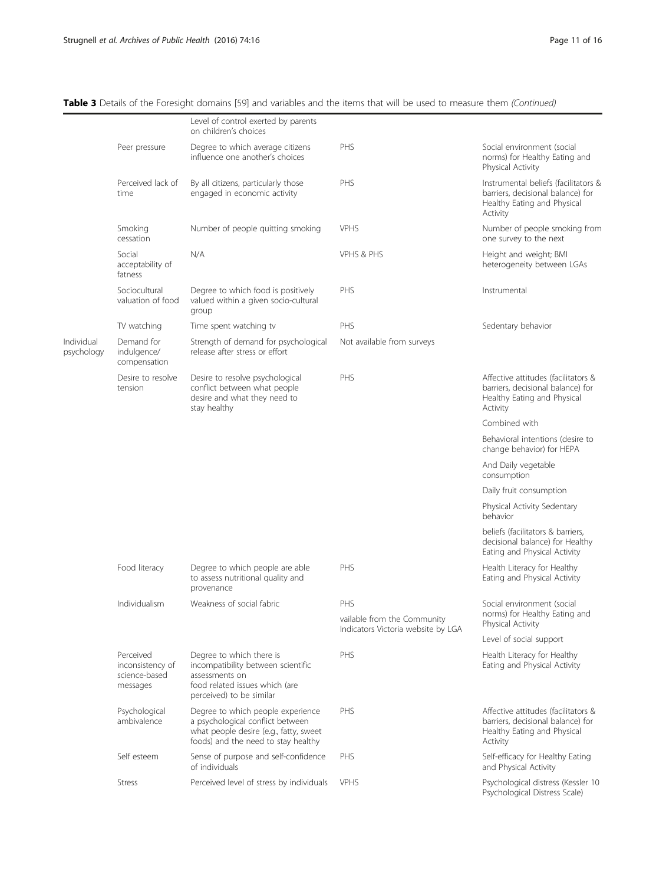|                          |                                                            | Level of control exerted by parents<br>on children's choices                                                                                           |                                    |                                                                                                                      |
|--------------------------|------------------------------------------------------------|--------------------------------------------------------------------------------------------------------------------------------------------------------|------------------------------------|----------------------------------------------------------------------------------------------------------------------|
|                          | Peer pressure                                              | Degree to which average citizens<br>influence one another's choices                                                                                    | PHS                                | Social environment (social<br>norms) for Healthy Eating and<br>Physical Activity                                     |
|                          | Perceived lack of<br>time                                  | By all citizens, particularly those<br>engaged in economic activity                                                                                    | PHS                                | Instrumental beliefs (facilitators &<br>barriers, decisional balance) for<br>Healthy Eating and Physical<br>Activity |
|                          | Smoking<br>cessation                                       | Number of people quitting smoking                                                                                                                      | <b>VPHS</b>                        | Number of people smoking from<br>one survey to the next                                                              |
|                          | Social<br>acceptability of<br>fatness                      | N/A                                                                                                                                                    | <b>VPHS &amp; PHS</b>              | Height and weight; BMI<br>heterogeneity between LGAs                                                                 |
|                          | Sociocultural<br>valuation of food                         | Degree to which food is positively<br>valued within a given socio-cultural<br>group                                                                    | PHS                                | Instrumental                                                                                                         |
|                          | TV watching                                                | Time spent watching tv                                                                                                                                 | PHS                                | Sedentary behavior                                                                                                   |
| Individual<br>psychology | Demand for<br>indulgence/<br>compensation                  | Strength of demand for psychological<br>release after stress or effort                                                                                 | Not available from surveys         |                                                                                                                      |
|                          | Desire to resolve<br>tension                               | Desire to resolve psychological<br>conflict between what people<br>desire and what they need to<br>stay healthy                                        | PHS                                | Affective attitudes (facilitators &<br>barriers, decisional balance) for<br>Healthy Eating and Physical<br>Activity  |
|                          |                                                            |                                                                                                                                                        |                                    | Combined with                                                                                                        |
|                          |                                                            |                                                                                                                                                        |                                    | Behavioral intentions (desire to<br>change behavior) for HEPA                                                        |
|                          |                                                            |                                                                                                                                                        |                                    | And Daily vegetable<br>consumption                                                                                   |
|                          |                                                            |                                                                                                                                                        |                                    | Daily fruit consumption                                                                                              |
|                          |                                                            |                                                                                                                                                        |                                    | Physical Activity Sedentary<br>behavior                                                                              |
|                          |                                                            |                                                                                                                                                        |                                    | beliefs (facilitators & barriers,<br>decisional balance) for Healthy<br>Eating and Physical Activity                 |
|                          | Food literacy                                              | Degree to which people are able<br>to assess nutritional quality and<br>provenance                                                                     | PHS                                | Health Literacy for Healthy<br>Eating and Physical Activity                                                          |
|                          | Individualism                                              | Weakness of social fabric                                                                                                                              | PHS                                | Social environment (social                                                                                           |
|                          |                                                            |                                                                                                                                                        | vailable from the Community        | norms) for Healthy Eating and<br>Physical Activity                                                                   |
|                          |                                                            |                                                                                                                                                        | Indicators Victoria website by LGA | Level of social support                                                                                              |
|                          | Perceived<br>inconsistency of<br>science-based<br>messages | Degree to which there is<br>incompatibility between scientific<br>assessments on<br>food related issues which (are<br>perceived) to be similar         | <b>PHS</b>                         | Health Literacy for Healthy<br>Eating and Physical Activity                                                          |
|                          | Psychological<br>ambivalence                               | Degree to which people experience<br>a psychological conflict between<br>what people desire (e.g., fatty, sweet<br>foods) and the need to stay healthy | <b>PHS</b>                         | Affective attitudes (facilitators &<br>barriers, decisional balance) for<br>Healthy Eating and Physical<br>Activity  |
|                          | Self esteem                                                | Sense of purpose and self-confidence<br>of individuals                                                                                                 | <b>PHS</b>                         | Self-efficacy for Healthy Eating<br>and Physical Activity                                                            |
|                          | <b>Stress</b>                                              | Perceived level of stress by individuals                                                                                                               | <b>VPHS</b>                        | Psychological distress (Kessler 10<br>Psychological Distress Scale)                                                  |

# Table 3 Details of the Foresight domains [[59\]](#page-13-0) and variables and the items that will be used to measure them (Continued)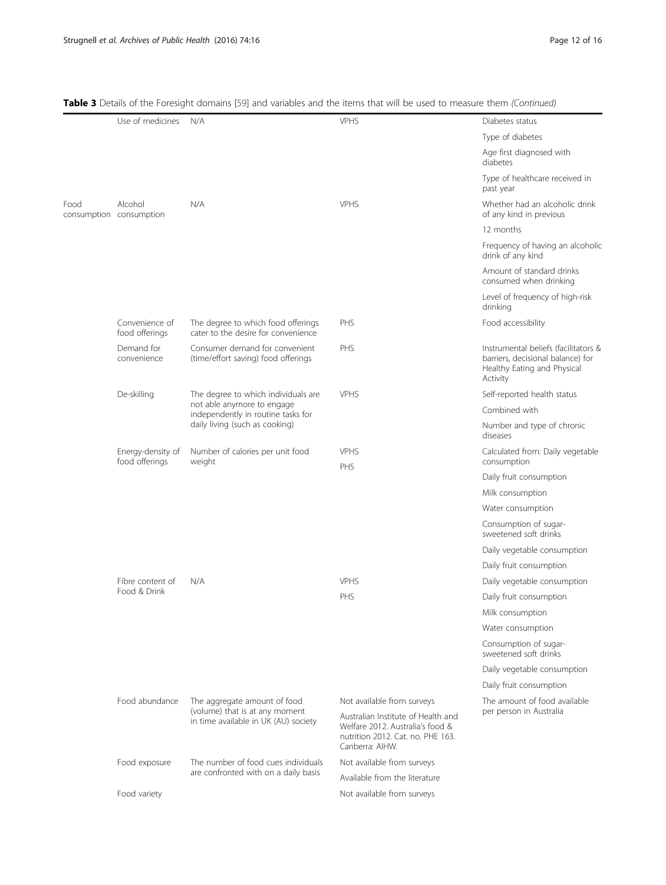|      | Use of medicines                    | N/A                                                                                                                                       | <b>VPHS</b>                                                                                                                    | Diabetes status                                                                                                      |
|------|-------------------------------------|-------------------------------------------------------------------------------------------------------------------------------------------|--------------------------------------------------------------------------------------------------------------------------------|----------------------------------------------------------------------------------------------------------------------|
|      |                                     |                                                                                                                                           |                                                                                                                                | Type of diabetes                                                                                                     |
|      |                                     |                                                                                                                                           |                                                                                                                                | Age first diagnosed with<br>diabetes                                                                                 |
|      |                                     |                                                                                                                                           |                                                                                                                                | Type of healthcare received in<br>past year                                                                          |
| Food | Alcohol<br>consumption consumption  | N/A                                                                                                                                       | <b>VPHS</b>                                                                                                                    | Whether had an alcoholic drink<br>of any kind in previous                                                            |
|      |                                     |                                                                                                                                           |                                                                                                                                | 12 months                                                                                                            |
|      |                                     |                                                                                                                                           |                                                                                                                                | Frequency of having an alcoholic<br>drink of any kind                                                                |
|      |                                     |                                                                                                                                           |                                                                                                                                | Amount of standard drinks<br>consumed when drinking                                                                  |
|      |                                     |                                                                                                                                           |                                                                                                                                | Level of frequency of high-risk<br>drinking                                                                          |
|      | Convenience of<br>food offerings    | The degree to which food offerings<br>cater to the desire for convenience                                                                 | PHS                                                                                                                            | Food accessibility                                                                                                   |
|      | Demand for<br>convenience           | Consumer demand for convenient<br>(time/effort saving) food offerings                                                                     | PHS                                                                                                                            | Instrumental beliefs (facilitators &<br>barriers, decisional balance) for<br>Healthy Eating and Physical<br>Activity |
|      | De-skilling                         | The degree to which individuals are<br>not able anymore to engage<br>independently in routine tasks for<br>daily living (such as cooking) | <b>VPHS</b>                                                                                                                    | Self-reported health status                                                                                          |
|      |                                     |                                                                                                                                           |                                                                                                                                | Combined with                                                                                                        |
|      |                                     |                                                                                                                                           |                                                                                                                                | Number and type of chronic<br>diseases                                                                               |
|      | Energy-density of<br>food offerings | Number of calories per unit food<br>weight                                                                                                | <b>VPHS</b><br>PHS                                                                                                             | Calculated from: Daily vegetable<br>consumption                                                                      |
|      |                                     |                                                                                                                                           |                                                                                                                                | Daily fruit consumption                                                                                              |
|      |                                     |                                                                                                                                           |                                                                                                                                | Milk consumption                                                                                                     |
|      |                                     |                                                                                                                                           |                                                                                                                                | Water consumption                                                                                                    |
|      |                                     |                                                                                                                                           |                                                                                                                                | Consumption of sugar-<br>sweetened soft drinks                                                                       |
|      |                                     |                                                                                                                                           |                                                                                                                                | Daily vegetable consumption                                                                                          |
|      |                                     |                                                                                                                                           |                                                                                                                                | Daily fruit consumption                                                                                              |
|      | Fibre content of                    | N/A                                                                                                                                       | <b>VPHS</b>                                                                                                                    | Daily vegetable consumption                                                                                          |
|      | Food & Drink                        |                                                                                                                                           | PHS                                                                                                                            | Daily fruit consumption                                                                                              |
|      |                                     |                                                                                                                                           |                                                                                                                                | Milk consumption                                                                                                     |
|      |                                     |                                                                                                                                           |                                                                                                                                | Water consumption                                                                                                    |
|      |                                     |                                                                                                                                           |                                                                                                                                | Consumption of sugar-<br>sweetened soft drinks                                                                       |
|      |                                     |                                                                                                                                           |                                                                                                                                | Daily vegetable consumption                                                                                          |
|      |                                     |                                                                                                                                           |                                                                                                                                | Daily fruit consumption                                                                                              |
|      | Food abundance                      | The aggregate amount of food                                                                                                              | Not available from surveys                                                                                                     | The amount of food available                                                                                         |
|      |                                     | (volume) that is at any moment<br>in time available in UK (AU) society                                                                    | Australian Institute of Health and<br>Welfare 2012. Australia's food &<br>nutrition 2012. Cat. no. PHE 163.<br>Canberra: AIHW. | per person in Australia                                                                                              |
|      | Food exposure                       | The number of food cues individuals<br>are confronted with on a daily basis                                                               | Not available from surveys                                                                                                     |                                                                                                                      |
|      |                                     |                                                                                                                                           | Available from the literature                                                                                                  |                                                                                                                      |
|      | Food variety                        |                                                                                                                                           | Not available from surveys                                                                                                     |                                                                                                                      |
|      |                                     |                                                                                                                                           |                                                                                                                                |                                                                                                                      |

# Table 3 Details of the Foresight domains [[59\]](#page-13-0) and variables and the items that will be used to measure them (Continued)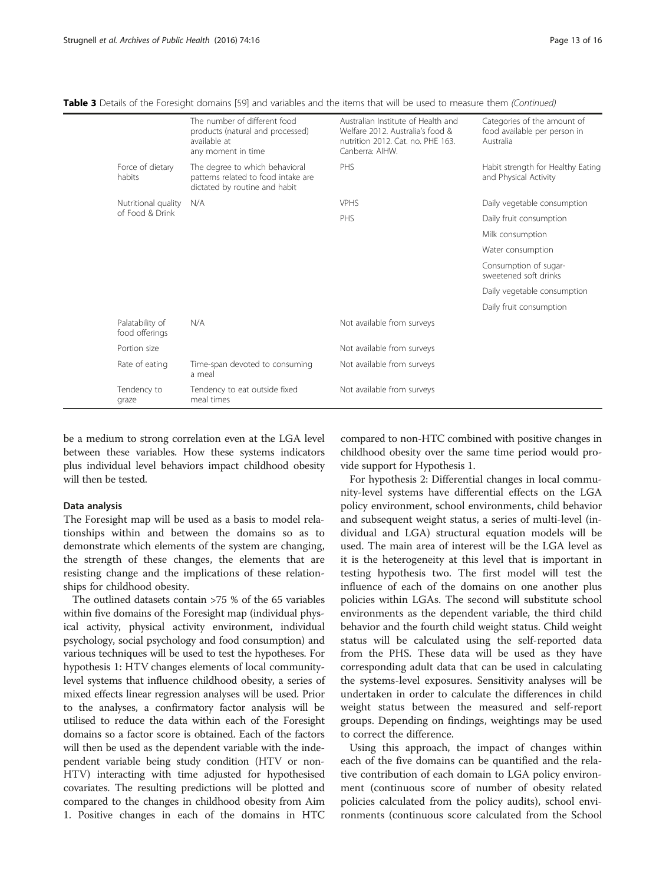|                                   | <b>IDIC 3</b> Details of the Foresignt domains [37] and vanables and the nems that will be ased to measure them (commacu) |                                                                                                                                |                                                                          |
|-----------------------------------|---------------------------------------------------------------------------------------------------------------------------|--------------------------------------------------------------------------------------------------------------------------------|--------------------------------------------------------------------------|
|                                   | The number of different food<br>products (natural and processed)<br>available at<br>any moment in time                    | Australian Institute of Health and<br>Welfare 2012. Australia's food &<br>nutrition 2012. Cat. no. PHE 163.<br>Canberra: AIHW. | Categories of the amount of<br>food available per person in<br>Australia |
| Force of dietary<br>habits        | The degree to which behavioral<br>patterns related to food intake are<br>dictated by routine and habit                    | PHS                                                                                                                            | Habit strength for Healthy Eating<br>and Physical Activity               |
| Nutritional quality               | N/A                                                                                                                       | <b>VPHS</b>                                                                                                                    | Daily vegetable consumption                                              |
| of Food & Drink                   |                                                                                                                           | <b>PHS</b>                                                                                                                     | Daily fruit consumption                                                  |
|                                   |                                                                                                                           |                                                                                                                                | Milk consumption                                                         |
|                                   |                                                                                                                           |                                                                                                                                | Water consumption                                                        |
|                                   |                                                                                                                           |                                                                                                                                | Consumption of sugar-<br>sweetened soft drinks                           |
|                                   |                                                                                                                           |                                                                                                                                | Daily vegetable consumption                                              |
|                                   |                                                                                                                           |                                                                                                                                | Daily fruit consumption                                                  |
| Palatability of<br>food offerings | N/A                                                                                                                       | Not available from surveys                                                                                                     |                                                                          |
| Portion size                      |                                                                                                                           | Not available from surveys                                                                                                     |                                                                          |
| Rate of eating                    | Time-span devoted to consuming<br>a meal                                                                                  | Not available from surveys                                                                                                     |                                                                          |
| Tendency to<br>graze              | Tendency to eat outside fixed<br>meal times                                                                               | Not available from surveys                                                                                                     |                                                                          |
|                                   |                                                                                                                           |                                                                                                                                |                                                                          |

| Table 3 Details of the Foresight domains [59] and variables and the items that will be used to measure them (Continued) |  |  |  |  |
|-------------------------------------------------------------------------------------------------------------------------|--|--|--|--|
|                                                                                                                         |  |  |  |  |

be a medium to strong correlation even at the LGA level between these variables. How these systems indicators plus individual level behaviors impact childhood obesity will then be tested.

### Data analysis

The Foresight map will be used as a basis to model relationships within and between the domains so as to demonstrate which elements of the system are changing, the strength of these changes, the elements that are resisting change and the implications of these relationships for childhood obesity.

The outlined datasets contain >75 % of the 65 variables within five domains of the Foresight map (individual physical activity, physical activity environment, individual psychology, social psychology and food consumption) and various techniques will be used to test the hypotheses. For hypothesis 1: HTV changes elements of local communitylevel systems that influence childhood obesity, a series of mixed effects linear regression analyses will be used. Prior to the analyses, a confirmatory factor analysis will be utilised to reduce the data within each of the Foresight domains so a factor score is obtained. Each of the factors will then be used as the dependent variable with the independent variable being study condition (HTV or non-HTV) interacting with time adjusted for hypothesised covariates. The resulting predictions will be plotted and compared to the changes in childhood obesity from Aim 1. Positive changes in each of the domains in HTC

compared to non-HTC combined with positive changes in childhood obesity over the same time period would provide support for Hypothesis 1.

For hypothesis 2: Differential changes in local community-level systems have differential effects on the LGA policy environment, school environments, child behavior and subsequent weight status, a series of multi-level (individual and LGA) structural equation models will be used. The main area of interest will be the LGA level as it is the heterogeneity at this level that is important in testing hypothesis two. The first model will test the influence of each of the domains on one another plus policies within LGAs. The second will substitute school environments as the dependent variable, the third child behavior and the fourth child weight status. Child weight status will be calculated using the self-reported data from the PHS. These data will be used as they have corresponding adult data that can be used in calculating the systems-level exposures. Sensitivity analyses will be undertaken in order to calculate the differences in child weight status between the measured and self-report groups. Depending on findings, weightings may be used to correct the difference.

Using this approach, the impact of changes within each of the five domains can be quantified and the relative contribution of each domain to LGA policy environment (continuous score of number of obesity related policies calculated from the policy audits), school environments (continuous score calculated from the School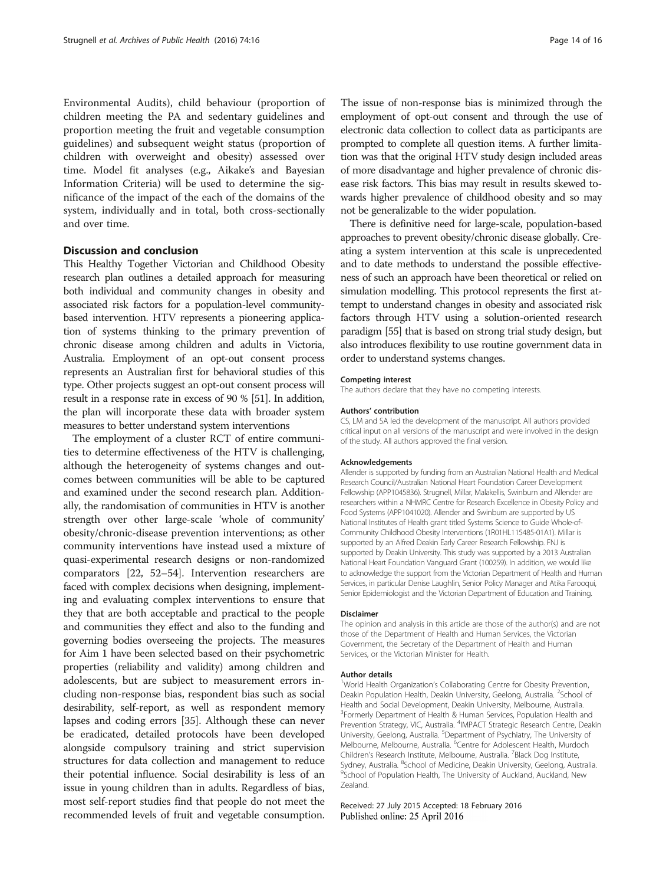<span id="page-13-0"></span>Environmental Audits), child behaviour (proportion of children meeting the PA and sedentary guidelines and proportion meeting the fruit and vegetable consumption guidelines) and subsequent weight status (proportion of children with overweight and obesity) assessed over time. Model fit analyses (e.g., Aikake's and Bayesian Information Criteria) will be used to determine the significance of the impact of the each of the domains of the system, individually and in total, both cross-sectionally and over time.

### Discussion and conclusion

This Healthy Together Victorian and Childhood Obesity research plan outlines a detailed approach for measuring both individual and community changes in obesity and associated risk factors for a population-level communitybased intervention. HTV represents a pioneering application of systems thinking to the primary prevention of chronic disease among children and adults in Victoria, Australia. Employment of an opt-out consent process represents an Australian first for behavioral studies of this type. Other projects suggest an opt-out consent process will result in a response rate in excess of 90 % [[51](#page-15-0)]. In addition, the plan will incorporate these data with broader system measures to better understand system interventions

The employment of a cluster RCT of entire communities to determine effectiveness of the HTV is challenging, although the heterogeneity of systems changes and outcomes between communities will be able to be captured and examined under the second research plan. Additionally, the randomisation of communities in HTV is another strength over other large-scale 'whole of community' obesity/chronic-disease prevention interventions; as other community interventions have instead used a mixture of quasi-experimental research designs or non-randomized comparators [\[22,](#page-14-0) [52](#page-15-0)–[54](#page-15-0)]. Intervention researchers are faced with complex decisions when designing, implementing and evaluating complex interventions to ensure that they that are both acceptable and practical to the people and communities they effect and also to the funding and governing bodies overseeing the projects. The measures for Aim 1 have been selected based on their psychometric properties (reliability and validity) among children and adolescents, but are subject to measurement errors including non-response bias, respondent bias such as social desirability, self-report, as well as respondent memory lapses and coding errors [\[35\]](#page-14-0). Although these can never be eradicated, detailed protocols have been developed alongside compulsory training and strict supervision structures for data collection and management to reduce their potential influence. Social desirability is less of an issue in young children than in adults. Regardless of bias, most self-report studies find that people do not meet the recommended levels of fruit and vegetable consumption.

The issue of non-response bias is minimized through the employment of opt-out consent and through the use of electronic data collection to collect data as participants are prompted to complete all question items. A further limitation was that the original HTV study design included areas of more disadvantage and higher prevalence of chronic disease risk factors. This bias may result in results skewed towards higher prevalence of childhood obesity and so may not be generalizable to the wider population.

There is definitive need for large-scale, population-based approaches to prevent obesity/chronic disease globally. Creating a system intervention at this scale is unprecedented and to date methods to understand the possible effectiveness of such an approach have been theoretical or relied on simulation modelling. This protocol represents the first attempt to understand changes in obesity and associated risk factors through HTV using a solution-oriented research paradigm [\[55\]](#page-15-0) that is based on strong trial study design, but also introduces flexibility to use routine government data in order to understand systems changes.

### Competing interest

The authors declare that they have no competing interests.

#### Authors' contribution

CS, LM and SA led the development of the manuscript. All authors provided critical input on all versions of the manuscript and were involved in the design of the study. All authors approved the final version.

#### Acknowledgements

Allender is supported by funding from an Australian National Health and Medical Research Council/Australian National Heart Foundation Career Development Fellowship (APP1045836). Strugnell, Millar, Malakellis, Swinburn and Allender are researchers within a NHMRC Centre for Research Excellence in Obesity Policy and Food Systems (APP1041020). Allender and Swinburn are supported by US National Institutes of Health grant titled Systems Science to Guide Whole-of-Community Childhood Obesity Interventions (1R01HL115485-01A1). Millar is supported by an Alfred Deakin Early Career Research Fellowship. FNJ is supported by Deakin University. This study was supported by a 2013 Australian National Heart Foundation Vanguard Grant (100259). In addition, we would like to acknowledge the support from the Victorian Department of Health and Human Services, in particular Denise Laughlin, Senior Policy Manager and Atika Farooqui, Senior Epidemiologist and the Victorian Department of Education and Training.

#### Disclaimer

The opinion and analysis in this article are those of the author(s) and are not those of the Department of Health and Human Services, the Victorian Government, the Secretary of the Department of Health and Human Services, or the Victorian Minister for Health.

#### Author details

<sup>1</sup>World Health Organization's Collaborating Centre for Obesity Prevention, Deakin Population Health, Deakin University, Geelong, Australia. <sup>2</sup>School of Health and Social Development, Deakin University, Melbourne, Australia. <sup>3</sup>Formerly Department of Health & Human Services, Population Health and Prevention Strategy, VIC, Australia. <sup>4</sup>IMPACT Strategic Research Centre, Deakin University, Geelong, Australia. <sup>5</sup>Department of Psychiatry, The University of Melbourne, Melbourne, Australia. <sup>6</sup>Centre for Adolescent Health, Murdoch Children's Research Institute, Melbourne, Australia. <sup>7</sup> Black Dog Institute, Sydney, Australia. <sup>8</sup>School of Medicine, Deakin University, Geelong, Australia.<br><sup>9</sup>School of Penulation Hoalth. The University of Auskland, Auskland, New <sup>9</sup> School of Population Health, The University of Auckland, Auckland, New Zealand.

Received: 27 July 2015 Accepted: 18 February 2016 Published online: 25 April 2016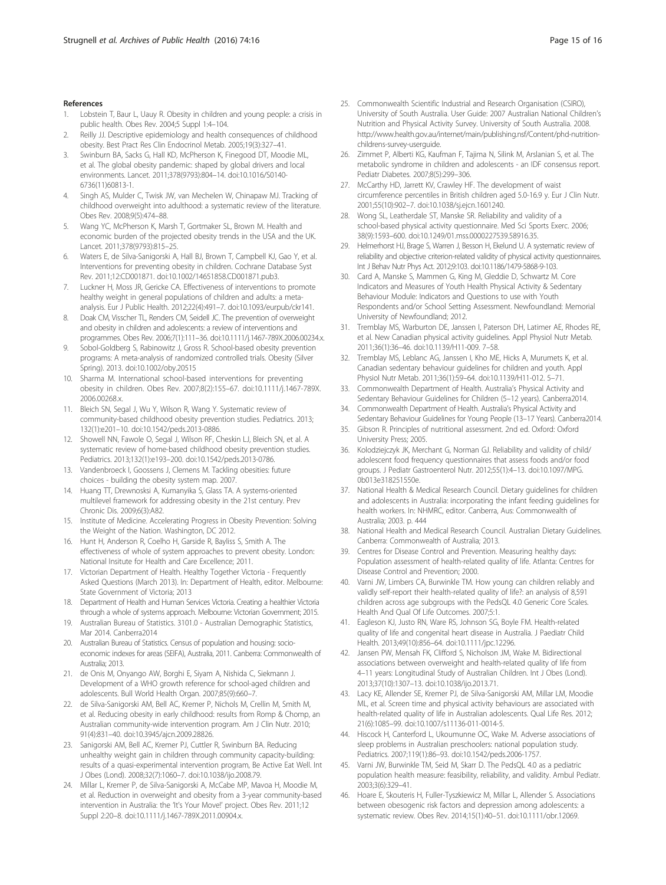#### <span id="page-14-0"></span>References

- Lobstein T, Baur L, Uauy R. Obesity in children and young people: a crisis in public health. Obes Rev. 2004;5 Suppl 1:4–104.
- Reilly JJ. Descriptive epidemiology and health consequences of childhood obesity. Best Pract Res Clin Endocrinol Metab. 2005;19(3):327–41.
- 3. Swinburn BA, Sacks G, Hall KD, McPherson K, Finegood DT, Moodie ML, et al. The global obesity pandemic: shaped by global drivers and local environments. Lancet. 2011;378(9793):804–14. doi[:10.1016/S0140-](http://dx.doi.org/10.1016/S0140-6736(11)60813-1) [6736\(11\)60813-1](http://dx.doi.org/10.1016/S0140-6736(11)60813-1).
- 4. Singh AS, Mulder C, Twisk JW, van Mechelen W, Chinapaw MJ. Tracking of childhood overweight into adulthood: a systematic review of the literature. Obes Rev. 2008;9(5):474–88.
- 5. Wang YC, McPherson K, Marsh T, Gortmaker SL, Brown M. Health and economic burden of the projected obesity trends in the USA and the UK. Lancet. 2011;378(9793):815–25.
- Waters E, de Silva-Sanigorski A, Hall BJ, Brown T, Campbell KJ, Gao Y, et al. Interventions for preventing obesity in children. Cochrane Database Syst Rev. 2011;12:CD001871. doi:[10.1002/14651858.CD001871.pub3](http://dx.doi.org/10.1002/14651858.CD001871.pub3).
- 7. Luckner H, Moss JR, Gericke CA. Effectiveness of interventions to promote healthy weight in general populations of children and adults: a metaanalysis. Eur J Public Health. 2012;22(4):491–7. doi[:10.1093/eurpub/ckr141.](http://dx.doi.org/10.1093/eurpub/ckr141)
- 8. Doak CM, Visscher TL, Renders CM, Seidell JC. The prevention of overweight and obesity in children and adolescents: a review of interventions and programmes. Obes Rev. 2006;7(1):111–36. doi[:10.1111/j.1467-789X.2006.00234.x](http://dx.doi.org/10.1111/j.1467-789X.2006.00234.x).
- Sobol-Goldberg S, Rabinowitz J, Gross R. School-based obesity prevention programs: A meta-analysis of randomized controlled trials. Obesity (Silver Spring). 2013. doi[:10.1002/oby.20515](http://dx.doi.org/10.1002/oby.20515)
- 10. Sharma M. International school-based interventions for preventing obesity in children. Obes Rev. 2007;8(2):155–67. doi:[10.1111/j.1467-789X.](http://dx.doi.org/10.1111/j.1467-789X.2006.00268.x) [2006.00268.x.](http://dx.doi.org/10.1111/j.1467-789X.2006.00268.x)
- 11. Bleich SN, Segal J, Wu Y, Wilson R, Wang Y. Systematic review of community-based childhood obesity prevention studies. Pediatrics. 2013; 132(1):e201–10. doi:[10.1542/peds.2013-0886](http://dx.doi.org/10.1542/peds.2013-0886).
- 12. Showell NN, Fawole O, Segal J, Wilson RF, Cheskin LJ, Bleich SN, et al. A systematic review of home-based childhood obesity prevention studies. Pediatrics. 2013;132(1):e193–200. doi[:10.1542/peds.2013-0786.](http://dx.doi.org/10.1542/peds.2013-0786)
- 13. Vandenbroeck I, Goossens J, Clemens M. Tackling obesities: future choices - building the obesity system map. 2007.
- 14. Huang TT, Drewnosksi A, Kumanyika S, Glass TA. A systems-oriented multilevel framework for addressing obesity in the 21st century. Prev Chronic Dis. 2009;6(3):A82.
- 15. Institute of Medicine. Accelerating Progress in Obesity Prevention: Solving the Weight of the Nation. Washington, DC 2012.
- 16. Hunt H, Anderson R, Coelho H, Garside R, Bayliss S, Smith A. The effectiveness of whole of system approaches to prevent obesity. London: National Insitute for Health and Care Excellence; 2011.
- 17. Victorian Department of Health. Healthy Together Victoria Frequently Asked Questions (March 2013). In: Department of Health, editor. Melbourne: State Government of Victoria; 2013
- 18. Department of Health and Human Services Victoria. Creating a healthier Victoria through a whole of systems approach. Melbourne: Victorian Government; 2015.
- 19. Australian Bureau of Statistics. 3101.0 Australian Demographic Statistics, Mar 2014. Canberra2014
- 20. Australian Bureau of Statistics. Census of population and housing: socioeconomic indexes for areas (SEIFA), Australia, 2011. Canberra: Commonwealth of Australia; 2013.
- 21. de Onis M, Onyango AW, Borghi E, Siyam A, Nishida C, Siekmann J. Development of a WHO growth reference for school-aged children and adolescents. Bull World Health Organ. 2007;85(9):660–7.
- 22. de Silva-Sanigorski AM, Bell AC, Kremer P, Nichols M, Crellin M, Smith M, et al. Reducing obesity in early childhood: results from Romp & Chomp, an Australian community-wide intervention program. Am J Clin Nutr. 2010; 91(4):831–40. doi[:10.3945/ajcn.2009.28826.](http://dx.doi.org/10.3945/ajcn.2009.28826)
- 23. Sanigorski AM, Bell AC, Kremer PJ, Cuttler R, Swinburn BA. Reducing unhealthy weight gain in children through community capacity-building: results of a quasi-experimental intervention program, Be Active Eat Well. Int J Obes (Lond). 2008;32(7):1060–7. doi:[10.1038/ijo.2008.79.](http://dx.doi.org/10.1038/ijo.2008.79)
- 24. Millar L, Kremer P, de Silva-Sanigorski A, McCabe MP, Mavoa H, Moodie M, et al. Reduction in overweight and obesity from a 3-year community-based intervention in Australia: the 'It's Your Move!' project. Obes Rev. 2011;12 Suppl 2:20–8. doi[:10.1111/j.1467-789X.2011.00904.x.](http://dx.doi.org/10.1111/j.1467-789X.2011.00904.x)
- 25. Commonwealth Scientific Industrial and Research Organisation (CSIRO), University of South Australia. User Guide: 2007 Australian National Children's Nutrition and Physical Activity Survey. University of South Australia. 2008. [http://www.health.gov.au/internet/main/publishing.nsf/Content/phd-nutrition](http://www.health.gov.au/internet/main/publishing.nsf/Content/phd-nutrition-childrens-survey-userguide)[childrens-survey-userguide](http://www.health.gov.au/internet/main/publishing.nsf/Content/phd-nutrition-childrens-survey-userguide).
- 26. Zimmet P, Alberti KG, Kaufman F, Tajima N, Silink M, Arslanian S, et al. The metabolic syndrome in children and adolescents - an IDF consensus report. Pediatr Diabetes. 2007;8(5):299–306.
- 27. McCarthy HD, Jarrett KV, Crawley HF. The development of waist circumference percentiles in British children aged 5.0-16.9 y. Eur J Clin Nutr. 2001;55(10):902–7. doi:[10.1038/sj.ejcn.1601240](http://dx.doi.org/10.1038/sj.ejcn.1601240).
- 28. Wong SL, Leatherdale ST, Manske SR. Reliability and validity of a school-based physical activity questionnaire. Med Sci Sports Exerc. 2006; 38(9):1593–600. doi:[10.1249/01.mss.0000227539.58916.35.](http://dx.doi.org/10.1249/01.mss.0000227539.58916.35)
- 29. Helmerhorst HJ, Brage S, Warren J, Besson H, Ekelund U. A systematic review of reliability and objective criterion-related validity of physical activity questionnaires. Int J Behav Nutr Phys Act. 2012;9:103. doi:[10.1186/1479-5868-9-103.](http://dx.doi.org/10.1186/1479-5868-9-103)
- 30. Card A, Manske S, Mammen G, King M, Gleddie D, Schwartz M. Core Indicators and Measures of Youth Health Physical Activity & Sedentary Behaviour Module: Indicators and Questions to use with Youth Respondents and/or School Setting Assessment. Newfoundland: Memorial University of Newfoundland; 2012.
- 31. Tremblay MS, Warburton DE, Janssen I, Paterson DH, Latimer AE, Rhodes RE, et al. New Canadian physical activity guidelines. Appl Physiol Nutr Metab. 2011;36(1):36–46. doi:[10.1139/H11-009](http://dx.doi.org/10.1139/H11-009). 7–58.
- 32. Tremblay MS, Leblanc AG, Janssen I, Kho ME, Hicks A, Murumets K, et al. Canadian sedentary behaviour guidelines for children and youth. Appl Physiol Nutr Metab. 2011;36(1):59–64. doi:[10.1139/H11-012](http://dx.doi.org/10.1139/H11-012). 5–71.
- 33. Commonwealth Department of Health. Australia's Physical Activity and Sedentary Behaviour Guidelines for Children (5–12 years). Canberra2014.
- 34. Commonwealth Department of Health. Australia's Physical Activity and Sedentary Behaviour Guidelines for Young People (13–17 Years). Canberra2014.
- 35. Gibson R. Principles of nutritional assessment. 2nd ed. Oxford: Oxford University Press; 2005.
- 36. Kolodziejczyk JK, Merchant G, Norman GJ. Reliability and validity of child/ adolescent food frequency questionnaires that assess foods and/or food groups. J Pediatr Gastroenterol Nutr. 2012;55(1):4–13. doi[:10.1097/MPG.](http://dx.doi.org/10.1097/MPG.0b013e318251550e) 0b013e318251550e
- 37. National Health & Medical Research Council. Dietary guidelines for children and adolescents in Australia: incorporating the infant feeding guidelines for health workers. In: NHMRC, editor. Canberra, Aus: Commonwealth of Australia; 2003. p. 444
- 38. National Health and Medical Research Council. Australian Dietary Guidelines. Canberra: Commonwealth of Australia; 2013.
- 39. Centres for Disease Control and Prevention. Measuring healthy days: Population assessment of health-related quality of life. Atlanta: Centres for Disease Control and Prevention; 2000.
- 40. Varni JW, Limbers CA, Burwinkle TM. How young can children reliably and validly self-report their health-related quality of life?: an analysis of 8,591 children across age subgroups with the PedsQL 4.0 Generic Core Scales. Health And Qual Of Life Outcomes. 2007;5:1.
- 41. Eagleson KJ, Justo RN, Ware RS, Johnson SG, Boyle FM. Health-related quality of life and congenital heart disease in Australia. J Paediatr Child Health. 2013;49(10):856–64. doi[:10.1111/jpc.12296.](http://dx.doi.org/10.1111/jpc.12296)
- 42. Jansen PW, Mensah FK, Clifford S, Nicholson JM, Wake M. Bidirectional associations between overweight and health-related quality of life from 4–11 years: Longitudinal Study of Australian Children. Int J Obes (Lond). 2013;37(10):1307–13. doi:[10.1038/ijo.2013.71](http://dx.doi.org/10.1038/ijo.2013.71).
- 43. Lacy KE, Allender SE, Kremer PJ, de Silva-Sanigorski AM, Millar LM, Moodie ML, et al. Screen time and physical activity behaviours are associated with health-related quality of life in Australian adolescents. Qual Life Res. 2012; 21(6):1085–99. doi:[10.1007/s11136-011-0014-5.](http://dx.doi.org/10.1007/s11136-011-0014-5)
- 44. Hiscock H, Canterford L, Ukoumunne OC, Wake M. Adverse associations of sleep problems in Australian preschoolers: national population study. Pediatrics. 2007;119(1):86–93. doi[:10.1542/peds.2006-1757.](http://dx.doi.org/10.1542/peds.2006-1757)
- 45. Varni JW, Burwinkle TM, Seid M, Skarr D. The PedsQL 4.0 as a pediatric population health measure: feasibility, reliability, and validity. Ambul Pediatr. 2003;3(6):329–41.
- 46. Hoare E, Skouteris H, Fuller-Tyszkiewicz M, Millar L, Allender S. Associations between obesogenic risk factors and depression among adolescents: a systematic review. Obes Rev. 2014;15(1):40–51. doi:[10.1111/obr.12069.](http://dx.doi.org/10.1111/obr.12069)